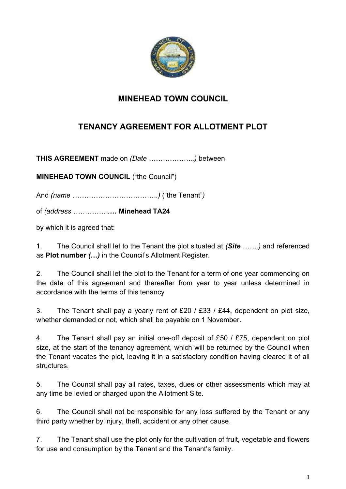

## **MINEHEAD TOWN COUNCIL**

## **TENANCY AGREEMENT FOR ALLOTMENT PLOT**

**THIS AGREEMENT** made on *(Date ………………..)* between

**MINEHEAD TOWN COUNCIL ("the Council")** 

And *(name ……………………………….)* ("the Tenant"*)* 

of *(address …………….…* **Minehead TA24** 

by which it is agreed that:

1. The Council shall let to the Tenant the plot situated at *(Site …….)* and referenced as **Plot number** *(…)* in the Council's Allotment Register.

2. The Council shall let the plot to the Tenant for a term of one year commencing on the date of this agreement and thereafter from year to year unless determined in accordance with the terms of this tenancy

3. The Tenant shall pay a yearly rent of £20 / £33 / £44, dependent on plot size, whether demanded or not, which shall be payable on 1 November.

4. The Tenant shall pay an initial one-off deposit of £50 / £75, dependent on plot size, at the start of the tenancy agreement, which will be returned by the Council when the Tenant vacates the plot, leaving it in a satisfactory condition having cleared it of all structures.

5. The Council shall pay all rates, taxes, dues or other assessments which may at any time be levied or charged upon the Allotment Site.

6. The Council shall not be responsible for any loss suffered by the Tenant or any third party whether by injury, theft, accident or any other cause.

7. The Tenant shall use the plot only for the cultivation of fruit, vegetable and flowers for use and consumption by the Tenant and the Tenant's family.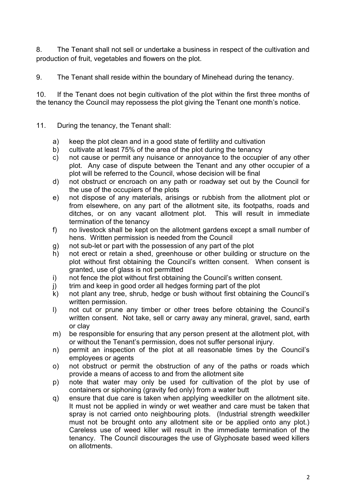8. The Tenant shall not sell or undertake a business in respect of the cultivation and production of fruit, vegetables and flowers on the plot.

9. The Tenant shall reside within the boundary of Minehead during the tenancy.

10. If the Tenant does not begin cultivation of the plot within the first three months of the tenancy the Council may repossess the plot giving the Tenant one month's notice.

- 11. During the tenancy, the Tenant shall:
	- a) keep the plot clean and in a good state of fertility and cultivation
	- b) cultivate at least 75% of the area of the plot during the tenancy
	- c) not cause or permit any nuisance or annoyance to the occupier of any other plot. Any case of dispute between the Tenant and any other occupier of a plot will be referred to the Council, whose decision will be final
	- d) not obstruct or encroach on any path or roadway set out by the Council for the use of the occupiers of the plots
	- e) not dispose of any materials, arisings or rubbish from the allotment plot or from elsewhere, on any part of the allotment site, its footpaths, roads and ditches, or on any vacant allotment plot. This will result in immediate termination of the tenancy
	- f) no livestock shall be kept on the allotment gardens except a small number of hens. Written permission is needed from the Council
	- g) not sub-let or part with the possession of any part of the plot
	- h) not erect or retain a shed, greenhouse or other building or structure on the plot without first obtaining the Council's written consent. When consent is granted, use of glass is not permitted
	- i) not fence the plot without first obtaining the Council's written consent.
	- j) trim and keep in good order all hedges forming part of the plot
	- k) not plant any tree, shrub, hedge or bush without first obtaining the Council's written permission.
	- l) not cut or prune any timber or other trees before obtaining the Council's written consent. Not take, sell or carry away any mineral, gravel, sand, earth or clay
	- m) be responsible for ensuring that any person present at the allotment plot, with or without the Tenant's permission, does not suffer personal injury.
	- n) permit an inspection of the plot at all reasonable times by the Council's employees or agents
	- o) not obstruct or permit the obstruction of any of the paths or roads which provide a means of access to and from the allotment site
	- p) note that water may only be used for cultivation of the plot by use of containers or siphoning (gravity fed only) from a water butt
	- q) ensure that due care is taken when applying weedkiller on the allotment site. It must not be applied in windy or wet weather and care must be taken that spray is not carried onto neighbouring plots. (Industrial strength weedkiller must not be brought onto any allotment site or be applied onto any plot.) Careless use of weed killer will result in the immediate termination of the tenancy. The Council discourages the use of Glyphosate based weed killers on allotments.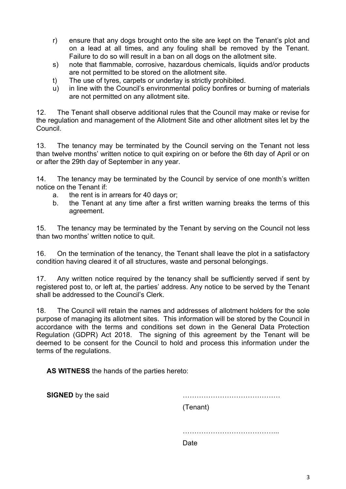- r) ensure that any dogs brought onto the site are kept on the Tenant's plot and on a lead at all times, and any fouling shall be removed by the Tenant. Failure to do so will result in a ban on all dogs on the allotment site.
- s) note that flammable, corrosive, hazardous chemicals, liquids and/or products are not permitted to be stored on the allotment site.
- t) The use of tyres, carpets or underlay is strictly prohibited.
- u) in line with the Council's environmental policy bonfires or burning of materials are not permitted on any allotment site.

12. The Tenant shall observe additional rules that the Council may make or revise for the regulation and management of the Allotment Site and other allotment sites let by the Council.

13. The tenancy may be terminated by the Council serving on the Tenant not less than twelve months' written notice to quit expiring on or before the 6th day of April or on or after the 29th day of September in any year.

14. The tenancy may be terminated by the Council by service of one month's written notice on the Tenant if:

- a. the rent is in arrears for 40 days or;
- b. the Tenant at any time after a first written warning breaks the terms of this agreement.

15. The tenancy may be terminated by the Tenant by serving on the Council not less than two months' written notice to quit.

16. On the termination of the tenancy, the Tenant shall leave the plot in a satisfactory condition having cleared it of all structures, waste and personal belongings.

17. Any written notice required by the tenancy shall be sufficiently served if sent by registered post to, or left at, the parties' address. Any notice to be served by the Tenant shall be addressed to the Council's Clerk.

18. The Council will retain the names and addresses of allotment holders for the sole purpose of managing its allotment sites. This information will be stored by the Council in accordance with the terms and conditions set down in the General Data Protection Regulation (GDPR) Act 2018. The signing of this agreement by the Tenant will be deemed to be consent for the Council to hold and process this information under the terms of the regulations.

**AS WITNESS** the hands of the parties hereto:

**SIGNED** by the said **EXECUTE: CONSIDER EXECUTE: CONSIDER EXECUTE: CONSIDER EXECUTE: CONSIDER EXECUTE: CONSIDER EXECUTE: CONSIDER EXECUTE: CONSIDER EXECUTE: CONSIDER EXECUTE: CONSIDER EX** (Tenant)

…………………………………... de de la contrata de la contrata de la contrata de la contrata de la contrata de la contrata de la contrata de